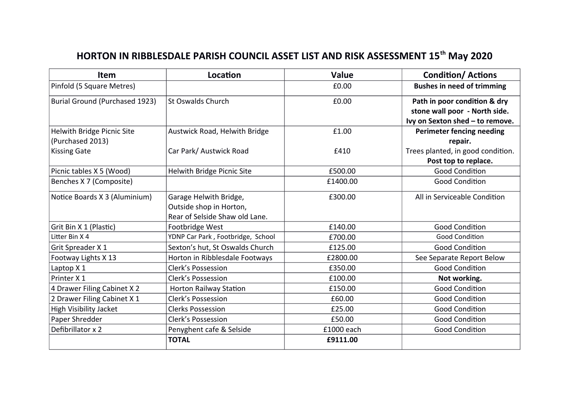## **HORTON IN RIBBLESDALE PARISH COUNCIL ASSET LIST AND RISK ASSESSMENT 15th May 2020**

| Item                           | Location                          | Value      | <b>Condition/Actions</b>          |
|--------------------------------|-----------------------------------|------------|-----------------------------------|
| Pinfold (5 Square Metres)      |                                   | £0.00      | <b>Bushes in need of trimming</b> |
| Burial Ground (Purchased 1923) | <b>St Oswalds Church</b>          | £0.00      | Path in poor condition & dry      |
|                                |                                   |            | stone wall poor - North side.     |
|                                |                                   |            | Ivy on Sexton shed - to remove.   |
| Helwith Bridge Picnic Site     | Austwick Road, Helwith Bridge     | £1.00      | Perimeter fencing needing         |
| (Purchased 2013)               |                                   |            | repair.                           |
| <b>Kissing Gate</b>            | Car Park/ Austwick Road           | £410       | Trees planted, in good condition. |
|                                |                                   |            | Post top to replace.              |
| Picnic tables X 5 (Wood)       | Helwith Bridge Picnic Site        | £500.00    | <b>Good Condition</b>             |
| Benches X 7 (Composite)        |                                   | £1400.00   | <b>Good Condition</b>             |
| Notice Boards X 3 (Aluminium)  | Garage Helwith Bridge,            | £300.00    | All in Serviceable Condition      |
|                                | Outside shop in Horton,           |            |                                   |
|                                | Rear of Selside Shaw old Lane.    |            |                                   |
| Grit Bin X 1 (Plastic)         | Footbridge West                   | £140.00    | <b>Good Condition</b>             |
| Litter Bin X 4                 | YDNP Car Park, Footbridge, School | £700.00    | <b>Good Condition</b>             |
| Grit Spreader X 1              | Sexton's hut, St Oswalds Church   | £125.00    | <b>Good Condition</b>             |
| Footway Lights X 13            | Horton in Ribblesdale Footways    | £2800.00   | See Separate Report Below         |
| Laptop X 1                     | <b>Clerk's Possession</b>         | £350.00    | <b>Good Condition</b>             |
| Printer X 1                    | <b>Clerk's Possession</b>         | £100.00    | Not working.                      |
| 4 Drawer Filing Cabinet X 2    | <b>Horton Railway Station</b>     | £150.00    | <b>Good Condition</b>             |
| 2 Drawer Filing Cabinet X 1    | <b>Clerk's Possession</b>         | £60.00     | <b>Good Condition</b>             |
| High Visibility Jacket         | <b>Clerks Possession</b>          | £25.00     | <b>Good Condition</b>             |
| Paper Shredder                 | <b>Clerk's Possession</b>         | £50.00     | <b>Good Condition</b>             |
| Defibrillator x 2              | Penyghent cafe & Selside          | £1000 each | <b>Good Condition</b>             |
|                                | <b>TOTAL</b>                      | £9111.00   |                                   |